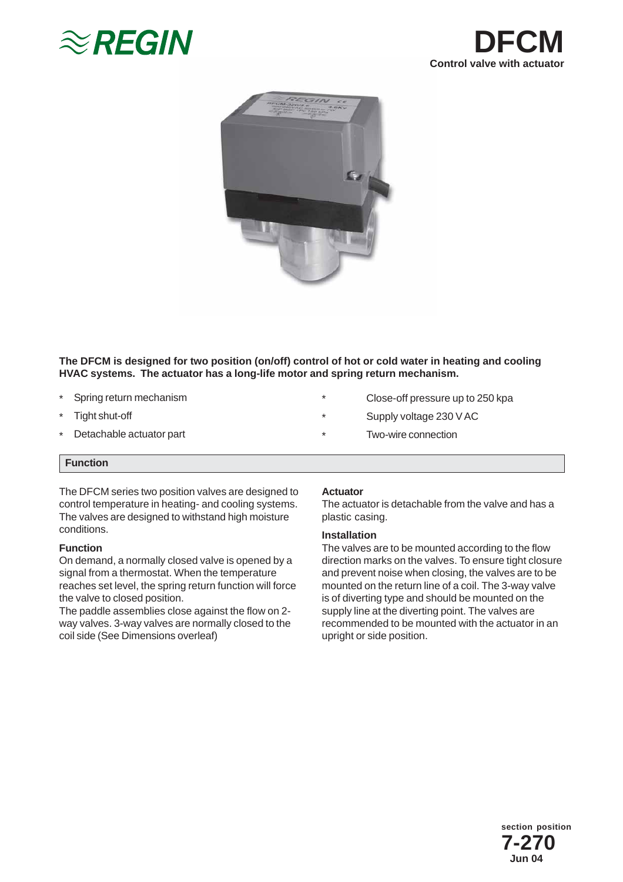





# **The DFCM is designed for two position (on/off) control of hot or cold water in heating and cooling HVAC systems. The actuator has a long-life motor and spring return mechanism.**

- \* Spring return mechanism
- \* Tight shut-off
- \* Detachable actuator part
- \* Close-off pressure up to 250 kpa
- \* Supply voltage 230 V AC
- \* Two-wire connection

## **Function**

The DFCM series two position valves are designed to control temperature in heating- and cooling systems. The valves are designed to withstand high moisture conditions.

## **Function**

On demand, a normally closed valve is opened by a signal from a thermostat. When the temperature reaches set level, the spring return function will force the valve to closed position.

The paddle assemblies close against the flow on 2 way valves. 3-way valves are normally closed to the coil side (See Dimensions overleaf)

## **Actuator**

The actuator is detachable from the valve and has a plastic casing.

## **Installation**

The valves are to be mounted according to the flow direction marks on the valves. To ensure tight closure and prevent noise when closing, the valves are to be mounted on the return line of a coil. The 3-way valve is of diverting type and should be mounted on the supply line at the diverting point. The valves are recommended to be mounted with the actuator in an upright or side position.